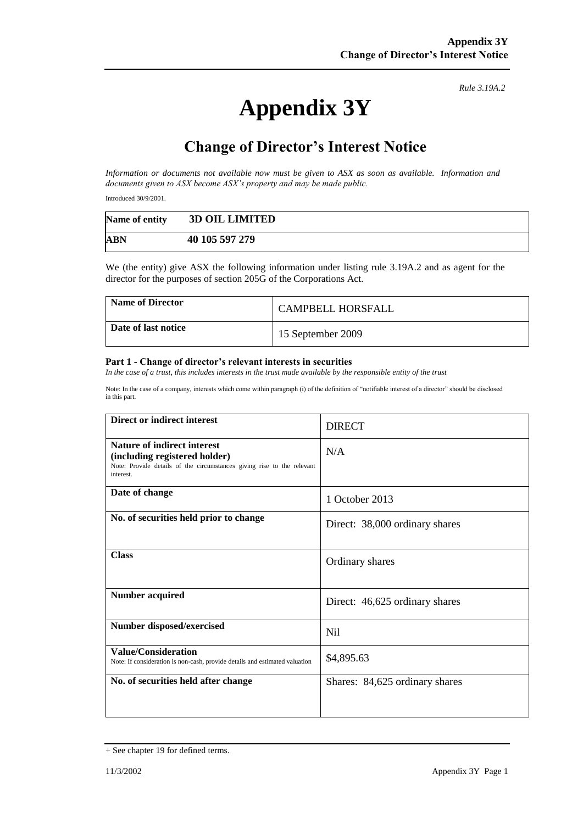# **Appendix 3Y**

*Rule 3.19A.2*

# **Change of Director's Interest Notice**

*Information or documents not available now must be given to ASX as soon as available. Information and documents given to ASX become ASX's property and may be made public.*

Introduced 30/9/2001.

| Name of entity | <b>3D OIL LIMITED</b> |
|----------------|-----------------------|
| <b>ABN</b>     | 40 105 597 279        |

We (the entity) give ASX the following information under listing rule 3.19A.2 and as agent for the director for the purposes of section 205G of the Corporations Act.

| Name of Director    | <b>CAMPBELL HORSFALL</b> |
|---------------------|--------------------------|
| Date of last notice | 15 September 2009        |

#### **Part 1 - Change of director's relevant interests in securities**

*In the case of a trust, this includes interests in the trust made available by the responsible entity of the trust*

Note: In the case of a company, interests which come within paragraph (i) of the definition of "notifiable interest of a director" should be disclosed in this part.

| Direct or indirect interest                                                                                                                                | <b>DIRECT</b>                  |  |
|------------------------------------------------------------------------------------------------------------------------------------------------------------|--------------------------------|--|
| <b>Nature of indirect interest</b><br>(including registered holder)<br>Note: Provide details of the circumstances giving rise to the relevant<br>interest. | N/A                            |  |
| Date of change                                                                                                                                             | 1 October 2013                 |  |
| No. of securities held prior to change                                                                                                                     | Direct: 38,000 ordinary shares |  |
| <b>Class</b>                                                                                                                                               | Ordinary shares                |  |
| <b>Number acquired</b>                                                                                                                                     | Direct: 46,625 ordinary shares |  |
| Number disposed/exercised                                                                                                                                  | Nil                            |  |
| Value/Consideration<br>Note: If consideration is non-cash, provide details and estimated valuation                                                         | \$4,895.63                     |  |
| No. of securities held after change                                                                                                                        | Shares: 84,625 ordinary shares |  |

<sup>+</sup> See chapter 19 for defined terms.